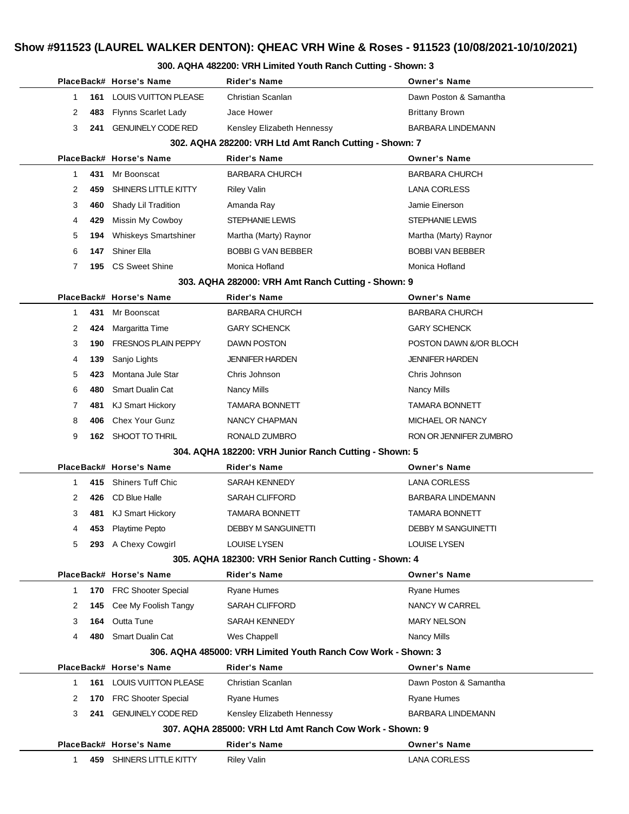#### **Show #911523 (LAUREL WALKER DENTON): QHEAC VRH Wine & Roses - 911523 (10/08/2021-10/10/2021)**

## **PlaceBack# Horse's Name Rider's Name Owner's Name 161** LOUIS VUITTON PLEASE Christian Scanlan **Dawn Poston & Samantha** 2 483 Flynns Scarlet Lady **Jace Hower Brittany Brown** Brittany Brown **241** GENUINELY CODE RED Kensley Elizabeth Hennessy BARBARA LINDEMANN **302. AQHA 282200: VRH Ltd Amt Ranch Cutting - Shown: 7 PlaceBack# Horse's Name Rider's Name Owner's Name 431** Mr Boonscat BARBARA CHURCH BARBARA CHURCH **459** SHINERS LITTLE KITTY Riley Valin LANA CORLESS **460** Shady Lil Tradition **Amanda Ray Channel Amanda Ray Channel Amanda Ray Amanda Ray Amanda Ray Amanda Ray Amanda Ray Amanda Ray Amanda Ray Amanda Ray Amanda Ray Amanda Ray Amanda Ray Amanda Ray Amanda Ray Amanda Ray A 429** Missin My Cowboy STEPHANIE LEWIS STEPHANIE LEWIS **194** Whiskeys Smartshiner Martha (Marty) Raynor Martha (Marty) Raynor **147** Shiner Ella **BOBBI G VAN BEBBER** BOBBI VAN BEBBER **195** CS Sweet Shine Monica Hofland Monica Hofland Monica Hofland **303. AQHA 282000: VRH Amt Ranch Cutting - Shown: 9 PlaceBack# Horse's Name Rider's Name Owner's Name 431** Mr Boonscat BARBARA CHURCH BARBARA CHURCH **424** Margaritta Time **GARY SCHENCK** GARY SCHENCK **190** FRESNOS PLAIN PEPPY DAWN POSTON POSTON DAWN &/OR BLOCH **139** Sanjo Lights JENNIFER HARDEN JENNIFER HARDEN **423** Montana Jule Star Chris Johnson Chris Johnson **480** Smart Dualin Cat Nancy Mills Nancy Mills **481** KJ Smart Hickory **TAMARA BONNETT** TAMARA BONNETT **406** Chex Your Gunz **NANCY CHAPMAN** MICHAEL OR NANCY **162** SHOOT TO THRIL RONALD ZUMBRO RONALD ZUMBRO RON OR JENNIFER ZUMBRO **304. AQHA 182200: VRH Junior Ranch Cutting - Shown: 5 PlaceBack# Horse's Name Rider's Name Owner's Name 415** Shiners Tuff Chic SARAH KENNEDY LANA CORLESS **426** CD Blue Halle **SARAH CLIFFORD** BARBARA LINDEMANN **481** KJ Smart Hickory **TAMARA BONNETT** TAMARA BONNETT **453** Playtime Pepto **DEBBY M SANGUINETTI** DEBBY M SANGUINETTI **293** A Chexy Cowgirl LOUISE LYSEN LOUISE LYSEN **305. AQHA 182300: VRH Senior Ranch Cutting - Shown: 4 PlaceBack# Horse's Name Rider's Name Owner's Name 170** FRC Shooter Special Ryane Humes Ryane Humes **145** Cee My Foolish Tangy SARAH CLIFFORD SARAH CLIFFORD NANCY W CARREL **3 164 Outta Tune SARAH KENNEDY MARY NELSON 480** Smart Dualin Cat Wes Chappell West Chappell Nancy Mills **306. AQHA 485000: VRH Limited Youth Ranch Cow Work - Shown: 3 PlaceBack# Horse's Name Rider's Name Owner's Name 161** LOUIS VUITTON PLEASE Christian Scanlan **Dawn Poston & Samantha 170** FRC Shooter Special Ryane Humes Ryane Humes Ryane Humes **241** GENUINELY CODE RED Kensley Elizabeth Hennessy BARBARA LINDEMANN

#### **300. AQHA 482200: VRH Limited Youth Ranch Cutting - Shown: 3**

|     | PlaceBack# Horse's Name | Rider's Name       | <b>Owner's Name</b> |
|-----|-------------------------|--------------------|---------------------|
| 459 | SHINERS LITTLE KITTY    | <b>Riley Valin</b> | LANA CORLESS        |

**307. AQHA 285000: VRH Ltd Amt Ranch Cow Work - Shown: 9**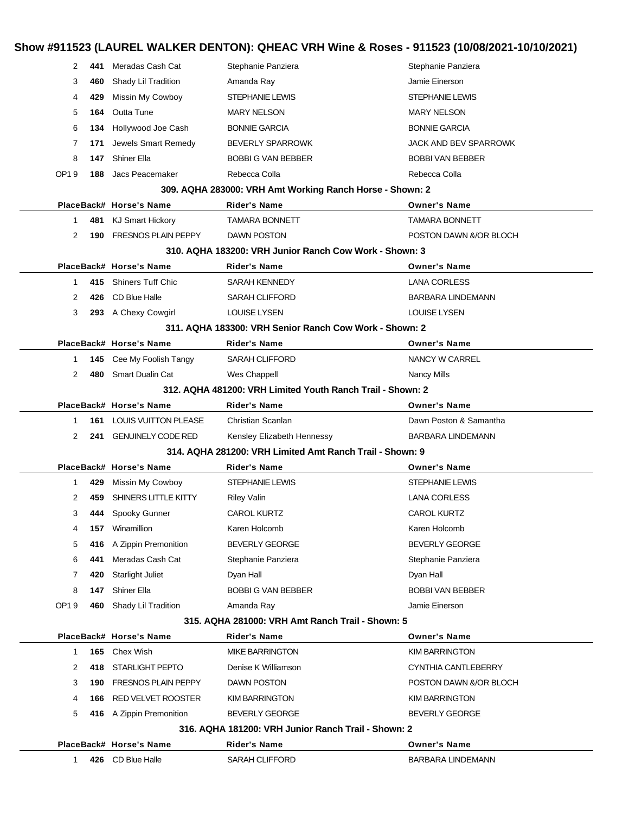### **Show #911523 (LAUREL WALKER DENTON): QHEAC VRH Wine & Roses - 911523 (10/08/2021-10/10/2021)**

| 2            | 441 | Meradas Cash Cat                | Stephanie Panziera                                         | Stephanie Panziera       |
|--------------|-----|---------------------------------|------------------------------------------------------------|--------------------------|
| 3            | 460 | Shady Lil Tradition             | Amanda Ray                                                 | Jamie Einerson           |
| 4            | 429 | Missin My Cowboy                | STEPHANIE LEWIS                                            | STEPHANIE LEWIS          |
| 5            | 164 | Outta Tune                      | <b>MARY NELSON</b>                                         | <b>MARY NELSON</b>       |
| 6            | 134 | Hollywood Joe Cash              | <b>BONNIE GARCIA</b>                                       | <b>BONNIE GARCIA</b>     |
| 7            | 171 | Jewels Smart Remedy             | <b>BEVERLY SPARROWK</b>                                    | JACK AND BEV SPARROWK    |
| 8            |     | 147 Shiner Ella                 | <b>BOBBI G VAN BEBBER</b>                                  | <b>BOBBI VAN BEBBER</b>  |
| OP19         |     | 188 Jacs Peacemaker             | Rebecca Colla                                              | Rebecca Colla            |
|              |     |                                 | 309. AQHA 283000: VRH Amt Working Ranch Horse - Shown: 2   |                          |
|              |     | PlaceBack# Horse's Name         | <b>Rider's Name</b>                                        | <b>Owner's Name</b>      |
| $\mathbf 1$  |     | 481 KJ Smart Hickory            | <b>TAMARA BONNETT</b>                                      | <b>TAMARA BONNETT</b>    |
| 2            |     | 190 FRESNOS PLAIN PEPPY         | DAWN POSTON                                                | POSTON DAWN &/OR BLOCH   |
|              |     |                                 | 310, AQHA 183200: VRH Junior Ranch Cow Work - Shown: 3     |                          |
|              |     | PlaceBack# Horse's Name         | <b>Rider's Name</b>                                        | <b>Owner's Name</b>      |
| $\mathbf 1$  |     | 415 Shiners Tuff Chic           | <b>SARAH KENNEDY</b>                                       | <b>LANA CORLESS</b>      |
| 2            | 426 | CD Blue Halle                   | <b>SARAH CLIFFORD</b>                                      | <b>BARBARA LINDEMANN</b> |
| 3            |     | 293 A Chexy Cowgirl             | <b>LOUISE LYSEN</b>                                        | <b>LOUISE LYSEN</b>      |
|              |     |                                 | 311, AQHA 183300: VRH Senior Ranch Cow Work - Shown: 2     |                          |
|              |     | PlaceBack# Horse's Name         | Rider's Name                                               | <b>Owner's Name</b>      |
| 1            |     | 145 Cee My Foolish Tangy        | <b>SARAH CLIFFORD</b>                                      | NANCY W CARREL           |
| 2            |     | 480 Smart Dualin Cat            | Wes Chappell                                               | Nancy Mills              |
|              |     |                                 | 312, AQHA 481200: VRH Limited Youth Ranch Trail - Shown: 2 |                          |
|              |     | PlaceBack# Horse's Name         | Rider's Name                                               | <b>Owner's Name</b>      |
| 1.           |     | <b>161 LOUIS VUITTON PLEASE</b> | Christian Scanlan                                          | Dawn Poston & Samantha   |
| 2            |     | 241 GENUINELY CODE RED          | Kensley Elizabeth Hennessy                                 | <b>BARBARA LINDEMANN</b> |
|              |     |                                 | 314, AQHA 281200: VRH Limited Amt Ranch Trail - Shown: 9   |                          |
|              |     | PlaceBack# Horse's Name         | Rider's Name                                               | <b>Owner's Name</b>      |
| $\mathbf{1}$ | 429 | Missin My Cowboy                | <b>STEPHANIE LEWIS</b>                                     | <b>STEPHANIE LEWIS</b>   |
| 2            | 459 | SHINERS LITTLE KITTY            | <b>Riley Valin</b>                                         | <b>LANA CORLESS</b>      |
| 3            |     | 444 Spooky Gunner               | <b>CAROL KURTZ</b>                                         | <b>CAROL KURTZ</b>       |
| 4            |     | <b>157</b> Winamillion          | Karen Holcomb                                              | Karen Holcomb            |
| 5            | 416 | A Zippin Premonition            | <b>BEVERLY GEORGE</b>                                      | <b>BEVERLY GEORGE</b>    |
| 6            | 441 | Meradas Cash Cat                | Stephanie Panziera                                         | Stephanie Panziera       |
| 7            | 420 | <b>Starlight Juliet</b>         | Dyan Hall                                                  | Dyan Hall                |
| 8            |     | 147 Shiner Ella                 | <b>BOBBI G VAN BEBBER</b>                                  | <b>BOBBI VAN BEBBER</b>  |
| OP19         |     | 460 Shady Lil Tradition         | Amanda Ray                                                 | Jamie Einerson           |
|              |     |                                 | 315. AQHA 281000: VRH Amt Ranch Trail - Shown: 5           |                          |
|              |     | PlaceBack# Horse's Name         | Rider's Name                                               | <b>Owner's Name</b>      |
| 1            |     | 165 Chex Wish                   | <b>MIKE BARRINGTON</b>                                     | <b>KIM BARRINGTON</b>    |
| 2            | 418 | <b>STARLIGHT PEPTO</b>          | Denise K Williamson                                        | CYNTHIA CANTLEBERRY      |
| 3            | 190 | <b>FRESNOS PLAIN PEPPY</b>      | DAWN POSTON                                                | POSTON DAWN &/OR BLOCH   |
| 4            | 166 | <b>RED VELVET ROOSTER</b>       | <b>KIM BARRINGTON</b>                                      | <b>KIM BARRINGTON</b>    |
| 5            |     | 416 A Zippin Premonition        | <b>BEVERLY GEORGE</b>                                      | <b>BEVERLY GEORGE</b>    |
|              |     |                                 | 316. AQHA 181200: VRH Junior Ranch Trail - Shown: 2        |                          |
|              |     | PlaceBack# Horse's Name         | Rider's Name                                               | <b>Owner's Name</b>      |
| $\mathbf{1}$ |     | 426 CD Blue Halle               | <b>SARAH CLIFFORD</b>                                      | <b>BARBARA LINDEMANN</b> |
|              |     |                                 |                                                            |                          |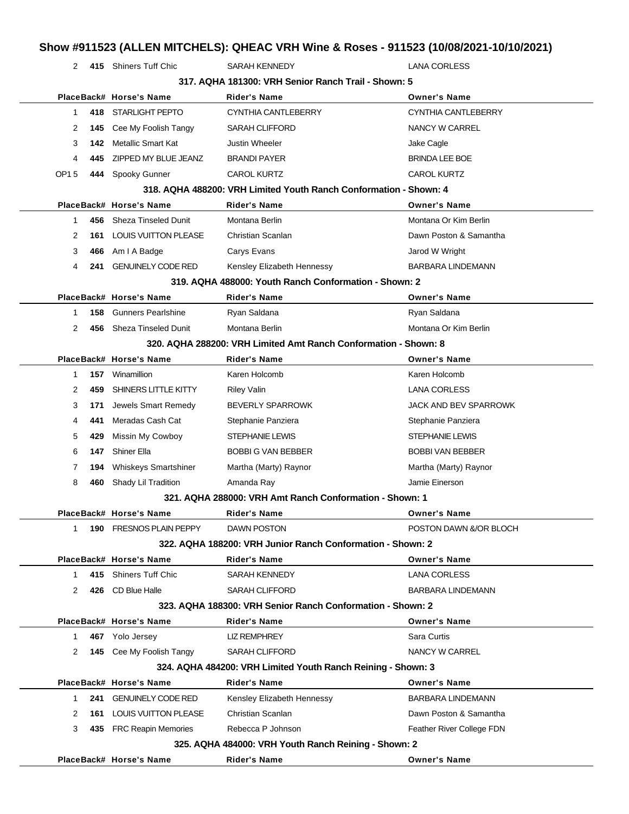### 2 415 Shiners Tuff Chic SARAH KENNEDY **SARAH KENNEDY** LANA CORLESS **317. AQHA 181300: VRH Senior Ranch Trail - Shown: 5 PlaceBack# Horse's Name Rider's Name Owner's Name** 1 **418** STARLIGHT PEPTO CYNTHIA CANTLEBERRY CYNTHIA CANTLEBERRY 2 **145** Cee My Foolish Tangy SARAH CLIFFORD NANCY W CARREL 3 **142** Metallic Smart Kat Justin Wheeler **Justin Wheeler** Jake Cagle 4 **445** ZIPPED MY BLUE JEANZ BRANDI PAYER BRINDA LEE BOE OP1 5 444 Spooky Gunner CAROL KURTZ CAROL KURTZ **318. AQHA 488200: VRH Limited Youth Ranch Conformation - Shown: 4 PlaceBack# Horse's Name Rider's Name Owner's Name** 1 **456** Sheza Tinseled Dunit Montana Berlin Montana Or Kim Berlin 2 **161** LOUIS VUITTON PLEASE Christian Scanlan **Dawn Poston & Samantha** 3 **466** Am I A Badge **Carys Evans** Carys Evans **Carys Evans** Jarod W Wright 4 **241** GENUINELY CODE RED Kensley Elizabeth Hennessy **BARBARA LINDEMANN 319. AQHA 488000: Youth Ranch Conformation - Shown: 2 PlaceBack# Horse's Name Rider's Name Owner's Name** 1 **158** Gunners Pearlshine Ryan Saldana Ryan Saldana 2 **456** Sheza Tinseled Dunit Montana Berlin Montana Or Kim Berlin **320. AQHA 288200: VRH Limited Amt Ranch Conformation - Shown: 8 PlaceBack# Horse's Name Rider's Name Owner's Name** 1 **157** Winamillion Karen Holcomb Karen Holcomb 2 **459** SHINERS LITTLE KITTY Riley Valin **Riley Valin** LANA CORLESS 3 **171** Jewels Smart Remedy BEVERLY SPARROWK JACK AND BEV SPARROWK 4 **441** Meradas Cash Cat Stephanie Panziera Stephanie Panziera Stephanie Panziera 5 **429** Missin My Cowboy STEPHANIE LEWIS STEPHANIE LEWIS 6 **147** Shiner Ella **BOBBI G VAN BEBBER** BOBBI VAN BEBBER 7 **194** Whiskeys Smartshiner Martha (Marty) Raynor Martha (Marty) Raynor 8 **460** Shady Lil Tradition **Amanda Ray Channel Amanda Ray Channel Einerson 321. AQHA 288000: VRH Amt Ranch Conformation - Shown: 1 PlaceBack# Horse's Name Rider's Name Owner's Name** 1 **190** FRESNOS PLAIN PEPPY DAWN POSTON POSTON DAWN &/OR BLOCH **322. AQHA 188200: VRH Junior Ranch Conformation - Shown: 2 PlaceBack# Horse's Name Rider's Name Owner's Name** 1 **415** Shiners Tuff Chic SARAH KENNEDY LANA CORLESS 2 **426** CD Blue Halle SARAH CLIFFORD SARAH CLIFFORD BARBARA LINDEMANN **323. AQHA 188300: VRH Senior Ranch Conformation - Shown: 2 PlaceBack# Horse's Name Rider's Name Owner's Name** 1 **467** Yolo Jersey **LIZ REMPHREY Sara Curtis** Sara Curtis 2 **145** Cee My Foolish Tangy SARAH CLIFFORD NANCY W CARREL **324. AQHA 484200: VRH Limited Youth Ranch Reining - Shown: 3 PlaceBack# Horse's Name Rider's Name Owner's Name** 1 **241** GENUINELY CODE RED Kensley Elizabeth Hennessy **BARBARA LINDEMANN** 2 **161** LOUIS VUITTON PLEASE Christian Scanlan **Dawn Poston & Samantha** 3 **435** FRC Reapin Memories Rebecca P Johnson Feather River College FDN

**325. AQHA 484000: VRH Youth Ranch Reining - Shown: 2**

**PlaceBack# Horse's Name Rider's Name Owner's Name**

### **Show #911523 (ALLEN MITCHELS): QHEAC VRH Wine & Roses - 911523 (10/08/2021-10/10/2021)**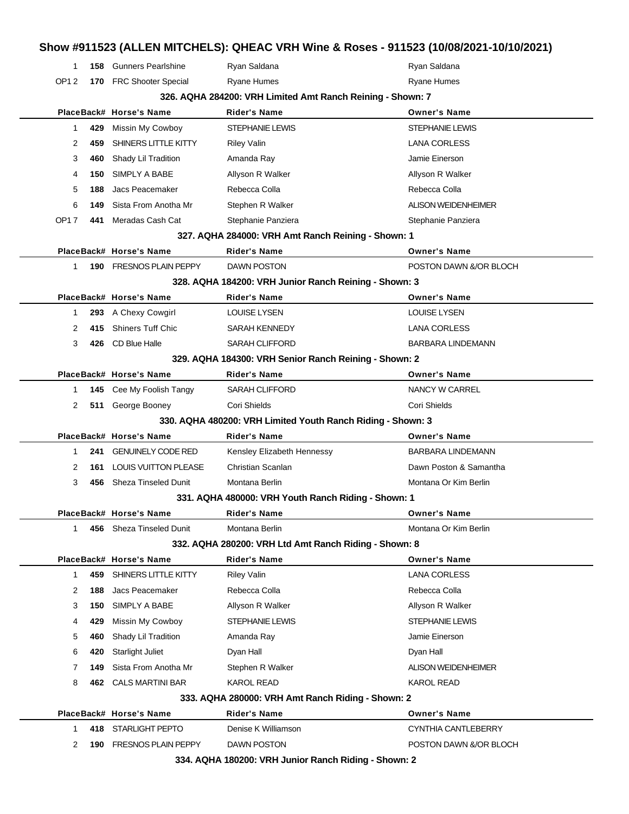| 1            |     | <b>158</b> Gunners Pearlshine   | Ryan Saldana                                                | Ryan Saldana               |
|--------------|-----|---------------------------------|-------------------------------------------------------------|----------------------------|
| OP12         |     | 170 FRC Shooter Special         | <b>Ryane Humes</b>                                          | Ryane Humes                |
|              |     |                                 | 326. AQHA 284200: VRH Limited Amt Ranch Reining - Shown: 7  |                            |
|              |     | PlaceBack# Horse's Name         | <b>Rider's Name</b>                                         | <b>Owner's Name</b>        |
| 1            | 429 | Missin My Cowboy                | STEPHANIE LEWIS                                             | STEPHANIE LEWIS            |
| 2            | 459 | SHINERS LITTLE KITTY            | <b>Riley Valin</b>                                          | <b>LANA CORLESS</b>        |
| 3            |     | 460 Shady Lil Tradition         | Amanda Ray                                                  | Jamie Einerson             |
| 4            |     | 150 SIMPLY A BABE               | Allyson R Walker                                            | Allyson R Walker           |
| 5            | 188 | Jacs Peacemaker                 | Rebecca Colla                                               | Rebecca Colla              |
| 6            |     | <b>149</b> Sista From Anotha Mr | Stephen R Walker                                            | <b>ALISON WEIDENHEIMER</b> |
| OP17         |     | 441 Meradas Cash Cat            | Stephanie Panziera                                          | Stephanie Panziera         |
|              |     |                                 | 327. AQHA 284000: VRH Amt Ranch Reining - Shown: 1          |                            |
|              |     | PlaceBack# Horse's Name         | Rider's Name                                                | <b>Owner's Name</b>        |
| 1            |     | 190 FRESNOS PLAIN PEPPY         | DAWN POSTON                                                 | POSTON DAWN &/OR BLOCH     |
|              |     |                                 | 328. AQHA 184200: VRH Junior Ranch Reining - Shown: 3       |                            |
|              |     | PlaceBack# Horse's Name         | <b>Rider's Name</b>                                         | <b>Owner's Name</b>        |
| 1            |     | 293 A Chexy Cowgirl             | <b>LOUISE LYSEN</b>                                         | <b>LOUISE LYSEN</b>        |
| 2            |     | 415 Shiners Tuff Chic           | SARAH KENNEDY                                               | LANA CORLESS               |
| 3            |     | 426 CD Blue Halle               | <b>SARAH CLIFFORD</b>                                       | <b>BARBARA LINDEMANN</b>   |
|              |     |                                 | 329. AQHA 184300: VRH Senior Ranch Reining - Shown: 2       |                            |
|              |     | PlaceBack# Horse's Name         | Rider's Name                                                | <b>Owner's Name</b>        |
| 1            |     | 145 Cee My Foolish Tangy        | <b>SARAH CLIFFORD</b>                                       | NANCY W CARREL             |
| 2            |     | 511 George Booney               | Cori Shields                                                | Cori Shields               |
|              |     |                                 | 330. AQHA 480200: VRH Limited Youth Ranch Riding - Shown: 3 |                            |
|              |     | PlaceBack# Horse's Name         | <b>Rider's Name</b>                                         | <b>Owner's Name</b>        |
| 1            | 241 | <b>GENUINELY CODE RED</b>       | Kensley Elizabeth Hennessy                                  | <b>BARBARA LINDEMANN</b>   |
| 2            | 161 | LOUIS VUITTON PLEASE            | Christian Scanlan                                           | Dawn Poston & Samantha     |
| 3            | 456 | <b>Sheza Tinseled Dunit</b>     | Montana Berlin                                              | Montana Or Kim Berlin      |
|              |     |                                 | 331. AQHA 480000: VRH Youth Ranch Riding - Shown: 1         |                            |
|              |     | PlaceBack# Horse's Name         | <b>Rider's Name</b>                                         | <b>Owner's Name</b>        |
| $\mathbf{1}$ |     | 456 Sheza Tinseled Dunit        | Montana Berlin                                              | Montana Or Kim Berlin      |
|              |     |                                 | 332. AQHA 280200: VRH Ltd Amt Ranch Riding - Shown: 8       |                            |
|              |     | PlaceBack# Horse's Name         | <b>Rider's Name</b>                                         | <b>Owner's Name</b>        |
|              | 459 | SHINERS LITTLE KITTY            | <b>Riley Valin</b>                                          | <b>LANA CORLESS</b>        |
| 1            | 188 | Jacs Peacemaker                 | Rebecca Colla                                               | Rebecca Colla              |
| 2            |     |                                 | Allyson R Walker                                            | Allyson R Walker           |
| 3            | 150 | SIMPLY A BABE                   |                                                             |                            |
| 4            | 429 | Missin My Cowboy                | <b>STEPHANIE LEWIS</b>                                      | <b>STEPHANIE LEWIS</b>     |
| 5            | 460 | Shady Lil Tradition             | Amanda Ray                                                  | Jamie Einerson             |
| 6            | 420 | <b>Starlight Juliet</b>         | Dyan Hall                                                   | Dyan Hall                  |
| 7            | 149 | Sista From Anotha Mr            | Stephen R Walker                                            | <b>ALISON WEIDENHEIMER</b> |
| 8            |     | 462 CALS MARTINI BAR            | KAROL READ                                                  | KAROL READ                 |
|              |     |                                 | 333. AQHA 280000: VRH Amt Ranch Riding - Shown: 2           |                            |
|              |     | PlaceBack# Horse's Name         | <b>Rider's Name</b>                                         | <b>Owner's Name</b>        |
| 1            |     | 418 STARLIGHT PEPTO             | Denise K Williamson                                         | CYNTHIA CANTLEBERRY        |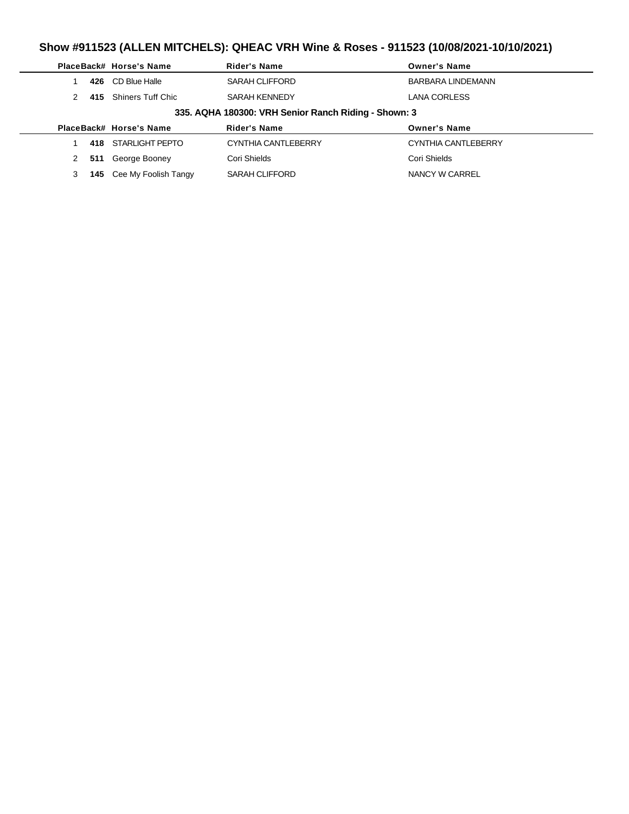# **Show #911523 (ALLEN MITCHELS): QHEAC VRH Wine & Roses - 911523 (10/08/2021-10/10/2021)**

|                      |     | PlaceBack# Horse's Name | <b>Rider's Name</b>                                  | <b>Owner's Name</b>        |
|----------------------|-----|-------------------------|------------------------------------------------------|----------------------------|
|                      | 426 | CD Blue Halle           | SARAH CLIFFORD                                       | BARBARA LINDEMANN          |
| 2                    | 415 | Shiners Tuff Chic       | SARAH KENNEDY                                        | LANA CORLESS               |
|                      |     |                         | 335. AQHA 180300: VRH Senior Ranch Riding - Shown: 3 |                            |
|                      |     |                         |                                                      |                            |
|                      |     | PlaceBack# Horse's Name | <b>Rider's Name</b>                                  | <b>Owner's Name</b>        |
|                      | 418 | STARLIGHT PEPTO         | CYNTHIA CANTLEBERRY                                  | <b>CYNTHIA CANTLEBERRY</b> |
| $\mathbf{2}^{\circ}$ | 511 | George Booney           | Cori Shields                                         | Cori Shields               |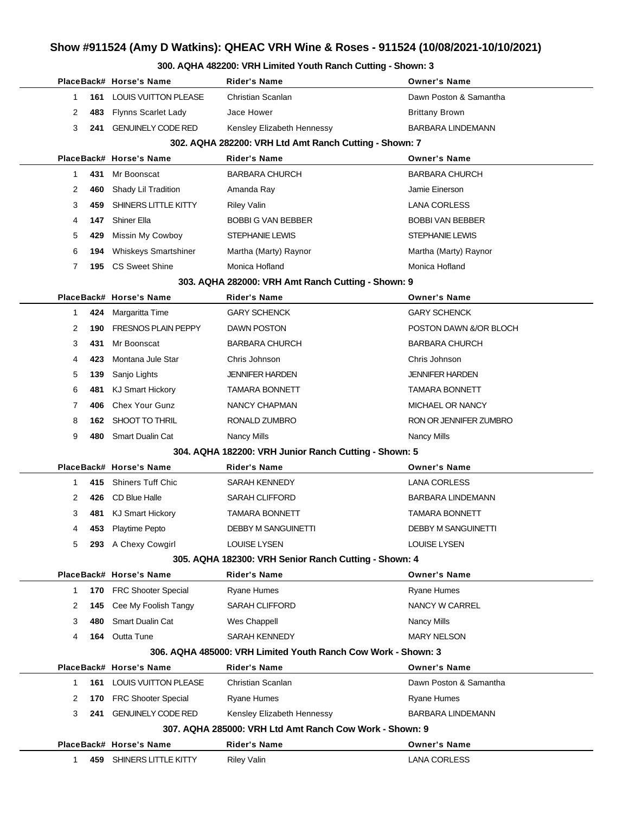### **Show #911524 (Amy D Watkins): QHEAC VRH Wine & Roses - 911524 (10/08/2021-10/10/2021)**

## **PlaceBack# Horse's Name Rider's Name Owner's Name 161** LOUIS VUITTON PLEASE Christian Scanlan **Dawn Poston & Samantha** 2 483 Flynns Scarlet Lady **Jace Hower Brittany Brown** Brittany Brown **241** GENUINELY CODE RED Kensley Elizabeth Hennessy BARBARA LINDEMANN **302. AQHA 282200: VRH Ltd Amt Ranch Cutting - Shown: 7 PlaceBack# Horse's Name Rider's Name Owner's Name 431** Mr Boonscat BARBARA CHURCH BARBARA CHURCH **460** Shady Lil Tradition **Amanda Ray Channel Amanda Ray Channel Einerson 459** SHINERS LITTLE KITTY Riley Valin LANA CORLESS **147** Shiner Ella BOBBI G VAN BEBBER BOBBI VAN BEBBER **429** Missin My Cowboy STEPHANIE LEWIS STEPHANIE LEWIS **194** Whiskeys Smartshiner Martha (Marty) Raynor Martha (Marty) Raynor **195** CS Sweet Shine Monica Hofland Monica Hofland Monica Hofland **303. AQHA 282000: VRH Amt Ranch Cutting - Shown: 9 PlaceBack# Horse's Name Rider's Name Owner's Name 424** Margaritta Time **GARY SCHENCK** GARY SCHENCK **190** FRESNOS PLAIN PEPPY DAWN POSTON POSTON DAWN &/OR BLOCH **431** Mr Boonscat BARBARA CHURCH BARBARA CHURCH **423** Montana Jule Star Chris Johnson Chris Johnson **139** Sanjo Lights JENNIFER HARDEN JENNIFER HARDEN **481** KJ Smart Hickory **TAMARA BONNETT** TAMARA BONNETT **406** Chex Your Gunz **MANCY CHAPMAN** MICHAEL OR NANCY **162** SHOOT TO THRIL RONALD ZUMBRO RON OR JENNIFER ZUMBRO **480** Smart Dualin Cat **Nancy Mills** Nancy Mills Nancy Mills Nancy Mills **304. AQHA 182200: VRH Junior Ranch Cutting - Shown: 5 PlaceBack# Horse's Name Rider's Name Owner's Name 415** Shiners Tuff Chic SARAH KENNEDY LANA CORLESS **426** CD Blue Halle **SARAH CLIFFORD BARBARA LINDEMANN 481** KJ Smart Hickory **TAMARA BONNETT** TAMARA BONNETT **453** Playtime Pepto **DEBBY M SANGUINETTI** DEBBY M SANGUINETTI **293** A Chexy Cowgirl LOUISE LYSEN LOUISE LYSEN **305. AQHA 182300: VRH Senior Ranch Cutting - Shown: 4 PlaceBack# Horse's Name Rider's Name Owner's Name 170** FRC Shooter Special Ryane Humes Ryane Humes **145** Cee My Foolish Tangy SARAH CLIFFORD SARAH CLIFFORD NANCY W CARREL **480** Smart Dualin Cat Wes Chappell Nancy Mills **164** Outta Tune SARAH KENNEDY MARY NELSON **306. AQHA 485000: VRH Limited Youth Ranch Cow Work - Shown: 3 PlaceBack# Horse's Name Rider's Name Owner's Name 161** LOUIS VUITTON PLEASE Christian Scanlan **Dawn Poston & Samantha 170** FRC Shooter Special Ryane Humes Ryane Humes **241** GENUINELY CODE RED Kensley Elizabeth Hennessy BARBARA LINDEMANN **307. AQHA 285000: VRH Ltd Amt Ranch Cow Work - Shown: 9 PlaceBack# Horse's Name Rider's Name Owner's Name**

#### **300. AQHA 482200: VRH Limited Youth Ranch Cutting - Shown: 3**

**459** SHINERS LITTLE KITTY Riley Valin **Riley Valin** Land Corless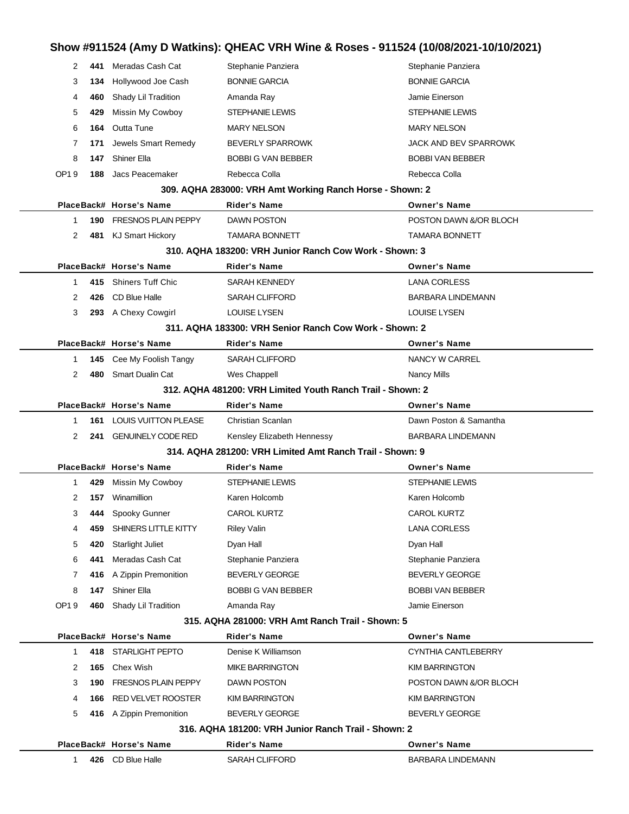# **Show #911524 (Amy D Watkins): QHEAC VRH Wine & Roses - 911524 (10/08/2021-10/10/2021)**

| 3            | Hollywood Joe Cash<br>134         | <b>BONNIE GARCIA</b>                                       | <b>BONNIE GARCIA</b>     |  |
|--------------|-----------------------------------|------------------------------------------------------------|--------------------------|--|
| 4            | Shady Lil Tradition<br>460        | Amanda Ray                                                 | Jamie Einerson           |  |
| 5            | 429<br>Missin My Cowboy           | <b>STEPHANIE LEWIS</b>                                     | <b>STEPHANIE LEWIS</b>   |  |
| 6            | Outta Tune<br>164                 | <b>MARY NELSON</b>                                         | <b>MARY NELSON</b>       |  |
| 7            | Jewels Smart Remedy<br>171        | <b>BEVERLY SPARROWK</b>                                    | JACK AND BEV SPARROWK    |  |
| 8            | Shiner Ella<br>147                | <b>BOBBI G VAN BEBBER</b>                                  | <b>BOBBI VAN BEBBER</b>  |  |
| OP19         | Jacs Peacemaker<br>188            | Rebecca Colla                                              | Rebecca Colla            |  |
|              |                                   | 309. AQHA 283000: VRH Amt Working Ranch Horse - Shown: 2   |                          |  |
|              | PlaceBack# Horse's Name           | <b>Rider's Name</b>                                        | <b>Owner's Name</b>      |  |
| $\mathbf 1$  | 190 FRESNOS PLAIN PEPPY           | <b>DAWN POSTON</b>                                         | POSTON DAWN &/OR BLOCH   |  |
| 2            | 481 KJ Smart Hickory              | <b>TAMARA BONNETT</b>                                      | <b>TAMARA BONNETT</b>    |  |
|              |                                   | 310. AQHA 183200: VRH Junior Ranch Cow Work - Shown: 3     |                          |  |
|              | PlaceBack# Horse's Name           | Rider's Name                                               | <b>Owner's Name</b>      |  |
| $\mathbf{1}$ | 415 Shiners Tuff Chic             | <b>SARAH KENNEDY</b>                                       | <b>LANA CORLESS</b>      |  |
| 2            | CD Blue Halle<br>426              | SARAH CLIFFORD                                             | <b>BARBARA LINDEMANN</b> |  |
| 3            | 293 A Chexy Cowgirl               | <b>LOUISE LYSEN</b>                                        | <b>LOUISE LYSEN</b>      |  |
|              |                                   | 311. AQHA 183300: VRH Senior Ranch Cow Work - Shown: 2     |                          |  |
|              | PlaceBack# Horse's Name           | <b>Rider's Name</b>                                        | <b>Owner's Name</b>      |  |
| 1            | 145 Cee My Foolish Tangy          | <b>SARAH CLIFFORD</b>                                      | NANCY W CARREL           |  |
| 2            | <b>Smart Dualin Cat</b><br>480    | Wes Chappell                                               | <b>Nancy Mills</b>       |  |
|              |                                   | 312, AQHA 481200: VRH Limited Youth Ranch Trail - Shown: 2 |                          |  |
|              | PlaceBack# Horse's Name           | <b>Rider's Name</b>                                        | <b>Owner's Name</b>      |  |
| 1            | <b>161 LOUIS VUITTON PLEASE</b>   | Christian Scanlan                                          | Dawn Poston & Samantha   |  |
|              |                                   |                                                            |                          |  |
| 2            | <b>GENUINELY CODE RED</b><br>241  | Kensley Elizabeth Hennessy                                 | <b>BARBARA LINDEMANN</b> |  |
|              |                                   | 314, AQHA 281200: VRH Limited Amt Ranch Trail - Shown: 9   |                          |  |
|              | PlaceBack# Horse's Name           | <b>Rider's Name</b>                                        | <b>Owner's Name</b>      |  |
| 1            | Missin My Cowboy<br>429           | <b>STEPHANIE LEWIS</b>                                     | <b>STEPHANIE LEWIS</b>   |  |
| 2            | 157 Winamillion                   | Karen Holcomb                                              | Karen Holcomb            |  |
| 3            | 444 Spooky Gunner                 | <b>CAROL KURTZ</b>                                         | <b>CAROL KURTZ</b>       |  |
| 4            | SHINERS LITTLE KITTY<br>459       | <b>Riley Valin</b>                                         | <b>LANA CORLESS</b>      |  |
| 5            | 420<br><b>Starlight Juliet</b>    | Dyan Hall                                                  | Dyan Hall                |  |
| 6            | Meradas Cash Cat<br>441           | Stephanie Panziera                                         | Stephanie Panziera       |  |
| 7            | A Zippin Premonition<br>416       | <b>BEVERLY GEORGE</b>                                      | <b>BEVERLY GEORGE</b>    |  |
| 8            | Shiner Ella<br>147                | <b>BOBBI G VAN BEBBER</b>                                  | <b>BOBBI VAN BEBBER</b>  |  |
| OP19         | Shady Lil Tradition<br>460        | Amanda Ray                                                 | Jamie Einerson           |  |
|              |                                   | 315. AQHA 281000: VRH Amt Ranch Trail - Shown: 5           |                          |  |
|              | PlaceBack# Horse's Name           | <b>Rider's Name</b>                                        | <b>Owner's Name</b>      |  |
| $\mathbf{1}$ | 418 STARLIGHT PEPTO               | Denise K Williamson                                        | CYNTHIA CANTLEBERRY      |  |
| 2            | Chex Wish<br>165                  | <b>MIKE BARRINGTON</b>                                     | <b>KIM BARRINGTON</b>    |  |
| 3            | <b>FRESNOS PLAIN PEPPY</b><br>190 | DAWN POSTON                                                | POSTON DAWN &/OR BLOCH   |  |
| 4            | RED VELVET ROOSTER<br>166         | <b>KIM BARRINGTON</b>                                      | <b>KIM BARRINGTON</b>    |  |
| 5            | 416 A Zippin Premonition          | <b>BEVERLY GEORGE</b>                                      | <b>BEVERLY GEORGE</b>    |  |
|              |                                   | 316. AQHA 181200: VRH Junior Ranch Trail - Shown: 2        |                          |  |
|              | PlaceBack# Horse's Name           | <b>Rider's Name</b>                                        | <b>Owner's Name</b>      |  |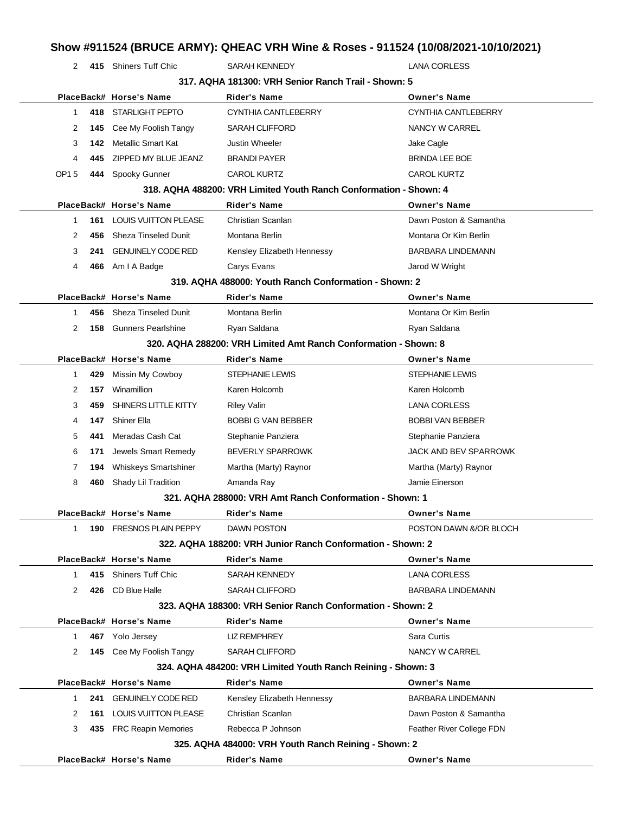# **Show #911524 (BRUCE ARMY): QHEAC VRH Wine & Roses - 911524 (10/08/2021-10/10/2021)**

2 **415** Shiners Tuff Chic SARAH KENNEDY LANA CORLESS

|             |                                    | 317, AQHA 181300: VRH Senior Ranch Trail - Shown: 5               |                            |
|-------------|------------------------------------|-------------------------------------------------------------------|----------------------------|
|             | PlaceBack# Horse's Name            | <b>Rider's Name</b>                                               | <b>Owner's Name</b>        |
| 1           | 418<br><b>STARLIGHT PEPTO</b>      | <b>CYNTHIA CANTLEBERRY</b>                                        | <b>CYNTHIA CANTLEBERRY</b> |
| 2           | Cee My Foolish Tangy<br>145        | <b>SARAH CLIFFORD</b>                                             | NANCY W CARREL             |
| 3           | Metallic Smart Kat<br>142          | Justin Wheeler                                                    | Jake Cagle                 |
| 4           | ZIPPED MY BLUE JEANZ<br>445        | <b>BRANDI PAYER</b>                                               | <b>BRINDA LEE BOE</b>      |
| <b>OP15</b> | 444 Spooky Gunner                  | <b>CAROL KURTZ</b>                                                | <b>CAROL KURTZ</b>         |
|             |                                    | 318, AQHA 488200: VRH Limited Youth Ranch Conformation - Shown: 4 |                            |
|             | PlaceBack# Horse's Name            | <b>Rider's Name</b>                                               | <b>Owner's Name</b>        |
| 1           | <b>LOUIS VUITTON PLEASE</b><br>161 | Christian Scanlan                                                 | Dawn Poston & Samantha     |
| 2           | <b>Sheza Tinseled Dunit</b><br>456 | Montana Berlin                                                    | Montana Or Kim Berlin      |
| 3           | <b>GENUINELY CODE RED</b><br>241   | Kensley Elizabeth Hennessy                                        | <b>BARBARA LINDEMANN</b>   |
| 4           | Am I A Badge<br>466                | Carys Evans                                                       | Jarod W Wright             |
|             |                                    | 319. AQHA 488000: Youth Ranch Conformation - Shown: 2             |                            |
|             | PlaceBack# Horse's Name            | <b>Rider's Name</b>                                               | <b>Owner's Name</b>        |
| 1           | <b>Sheza Tinseled Dunit</b><br>456 | Montana Berlin                                                    | Montana Or Kim Berlin      |
| 2           | <b>Gunners Pearlshine</b><br>158   | Ryan Saldana                                                      | Ryan Saldana               |
|             |                                    | 320. AQHA 288200: VRH Limited Amt Ranch Conformation - Shown: 8   |                            |
|             | PlaceBack# Horse's Name            | Rider's Name                                                      | <b>Owner's Name</b>        |
| 1           | 429<br>Missin My Cowboy            | <b>STEPHANIE LEWIS</b>                                            | <b>STEPHANIE LEWIS</b>     |
| 2           | Winamillion<br>157                 | Karen Holcomb                                                     | Karen Holcomb              |
| 3           | SHINERS LITTLE KITTY<br>459        | <b>Riley Valin</b>                                                | <b>LANA CORLESS</b>        |
| 4           | <b>Shiner Ella</b><br>147          | <b>BOBBI G VAN BEBBER</b>                                         | <b>BOBBI VAN BEBBER</b>    |
| 5<br>441    | Meradas Cash Cat                   | Stephanie Panziera                                                | Stephanie Panziera         |
| 6<br>171    | Jewels Smart Remedy                | <b>BEVERLY SPARROWK</b>                                           | JACK AND BEV SPARROWK      |
| 7           | <b>Whiskeys Smartshiner</b><br>194 | Martha (Marty) Raynor                                             | Martha (Marty) Raynor      |
| 8           | 460<br>Shady Lil Tradition         | Amanda Ray                                                        | Jamie Einerson             |
|             |                                    | 321. AQHA 288000: VRH Amt Ranch Conformation - Shown: 1           |                            |
|             | PlaceBack# Horse's Name            | <b>Rider's Name</b>                                               | <b>Owner's Name</b>        |
| 1           | <b>FRESNOS PLAIN PEPPY</b><br>190  | DAWN POSTON                                                       | POSTON DAWN &/OR BLOCH     |
|             |                                    | 322. AQHA 188200: VRH Junior Ranch Conformation - Shown: 2        |                            |
|             | PlaceBack# Horse's Name            | <b>Rider's Name</b>                                               | <b>Owner's Name</b>        |
| $\mathbf 1$ | 415 Shiners Tuff Chic              | SARAH KENNEDY                                                     | <b>LANA CORLESS</b>        |
| 2           | 426 CD Blue Halle                  | <b>SARAH CLIFFORD</b>                                             | <b>BARBARA LINDEMANN</b>   |
|             |                                    | 323. AQHA 188300: VRH Senior Ranch Conformation - Shown: 2        |                            |
|             | PlaceBack# Horse's Name            | <b>Rider's Name</b>                                               | <b>Owner's Name</b>        |
| $\mathbf 1$ | 467 Yolo Jersey                    | <b>LIZ REMPHREY</b>                                               | Sara Curtis                |
| 2           | 145 Cee My Foolish Tangy           | <b>SARAH CLIFFORD</b>                                             | NANCY W CARREL             |
|             |                                    | 324. AQHA 484200: VRH Limited Youth Ranch Reining - Shown: 3      |                            |
|             | PlaceBack# Horse's Name            | <b>Rider's Name</b>                                               | <b>Owner's Name</b>        |
| 1.          | 241 GENUINELY CODE RED             | Kensley Elizabeth Hennessy                                        | <b>BARBARA LINDEMANN</b>   |
| 2           | <b>LOUIS VUITTON PLEASE</b><br>161 | Christian Scanlan                                                 | Dawn Poston & Samantha     |
| 3           | 435 FRC Reapin Memories            | Rebecca P Johnson                                                 | Feather River College FDN  |
|             |                                    | 325. AQHA 484000: VRH Youth Ranch Reining - Shown: 2              |                            |
|             | PlaceBack# Horse's Name            | Rider's Name                                                      | <b>Owner's Name</b>        |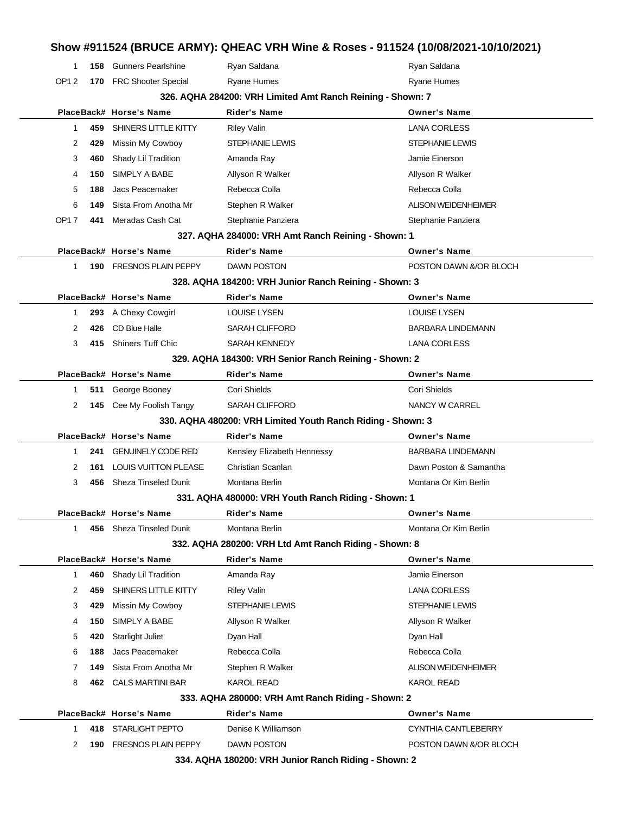| 1            |      | <b>158</b> Gunners Pearlshine | Ryan Saldana                                                | Ryan Saldana               |
|--------------|------|-------------------------------|-------------------------------------------------------------|----------------------------|
| OP12         |      | 170 FRC Shooter Special       | <b>Ryane Humes</b>                                          | <b>Ryane Humes</b>         |
|              |      |                               | 326. AQHA 284200: VRH Limited Amt Ranch Reining - Shown: 7  |                            |
|              |      | PlaceBack# Horse's Name       | <b>Rider's Name</b>                                         | <b>Owner's Name</b>        |
| 1            | 459  | SHINERS LITTLE KITTY          | <b>Riley Valin</b>                                          | <b>LANA CORLESS</b>        |
| 2            | 429  | Missin My Cowboy              | STEPHANIE LEWIS                                             | STEPHANIE LEWIS            |
| 3            | 460  | Shady Lil Tradition           | Amanda Ray                                                  | Jamie Einerson             |
| 4            | 150  | SIMPLY A BABE                 | Allyson R Walker                                            | Allyson R Walker           |
| 5            | 188  | Jacs Peacemaker               | Rebecca Colla                                               | Rebecca Colla              |
| 6            | 149. | Sista From Anotha Mr          | Stephen R Walker                                            | <b>ALISON WEIDENHEIMER</b> |
| OP17         | 441  | Meradas Cash Cat              | Stephanie Panziera                                          | Stephanie Panziera         |
|              |      |                               | 327. AQHA 284000: VRH Amt Ranch Reining - Shown: 1          |                            |
|              |      | PlaceBack# Horse's Name       | <b>Rider's Name</b>                                         | <b>Owner's Name</b>        |
| $\mathbf 1$  |      | 190 FRESNOS PLAIN PEPPY       | <b>DAWN POSTON</b>                                          | POSTON DAWN &/OR BLOCH     |
|              |      |                               | 328. AQHA 184200: VRH Junior Ranch Reining - Shown: 3       |                            |
|              |      | PlaceBack# Horse's Name       | <b>Rider's Name</b>                                         | <b>Owner's Name</b>        |
| 1            |      | 293 A Chexy Cowgirl           | <b>LOUISE LYSEN</b>                                         | <b>LOUISE LYSEN</b>        |
| 2            | 426  | CD Blue Halle                 | <b>SARAH CLIFFORD</b>                                       | <b>BARBARA LINDEMANN</b>   |
| 3            |      | 415 Shiners Tuff Chic         | <b>SARAH KENNEDY</b>                                        | <b>LANA CORLESS</b>        |
|              |      |                               | 329. AQHA 184300: VRH Senior Ranch Reining - Shown: 2       |                            |
|              |      | PlaceBack# Horse's Name       | <b>Rider's Name</b>                                         | <b>Owner's Name</b>        |
| 1            |      | 511 George Booney             | Cori Shields                                                | Cori Shields               |
| 2            |      | 145 Cee My Foolish Tangy      | <b>SARAH CLIFFORD</b>                                       | NANCY W CARREL             |
|              |      |                               | 330. AQHA 480200: VRH Limited Youth Ranch Riding - Shown: 3 |                            |
|              |      | PlaceBack# Horse's Name       | <b>Rider's Name</b>                                         | <b>Owner's Name</b>        |
| 1            | 241  | <b>GENUINELY CODE RED</b>     | Kensley Elizabeth Hennessy                                  | <b>BARBARA LINDEMANN</b>   |
| 2            | 161  | <b>LOUIS VUITTON PLEASE</b>   | Christian Scanlan                                           | Dawn Poston & Samantha     |
| 3            | 456  | <b>Sheza Tinseled Dunit</b>   | Montana Berlin                                              | Montana Or Kim Berlin      |
|              |      |                               | 331. AQHA 480000: VRH Youth Ranch Riding - Shown: 1         |                            |
|              |      | PlaceBack# Horse's Name       | Rider's Name                                                | <b>Owner's Name</b>        |
| $\mathbf{1}$ |      | 456 Sheza Tinseled Dunit      | Montana Berlin                                              | Montana Or Kim Berlin      |
|              |      |                               | 332. AQHA 280200: VRH Ltd Amt Ranch Riding - Shown: 8       |                            |
|              |      | PlaceBack# Horse's Name       | <b>Rider's Name</b>                                         | <b>Owner's Name</b>        |
| 1            | 460  | Shady Lil Tradition           | Amanda Ray                                                  | Jamie Einerson             |
| 2            | 459  | SHINERS LITTLE KITTY          | <b>Riley Valin</b>                                          | <b>LANA CORLESS</b>        |
| 3            | 429. | Missin My Cowboy              | <b>STEPHANIE LEWIS</b>                                      | STEPHANIE LEWIS            |
| 4            | 150  | SIMPLY A BABE                 | Allyson R Walker                                            | Allyson R Walker           |
| 5            | 420  | <b>Starlight Juliet</b>       | Dyan Hall                                                   | Dyan Hall                  |
| 6            | 188  | Jacs Peacemaker               | Rebecca Colla                                               | Rebecca Colla              |
| 7            | 149  | Sista From Anotha Mr          | Stephen R Walker                                            | <b>ALISON WEIDENHEIMER</b> |
|              |      | 462 CALS MARTINI BAR          | <b>KAROL READ</b>                                           | <b>KAROL READ</b>          |
| 8            |      |                               | 333. AQHA 280000: VRH Amt Ranch Riding - Shown: 2           |                            |
|              |      | PlaceBack# Horse's Name       | <b>Rider's Name</b>                                         | <b>Owner's Name</b>        |
|              |      |                               |                                                             |                            |
| 1            |      | 418 STARLIGHT PEPTO           | Denise K Williamson                                         | CYNTHIA CANTLEBERRY        |